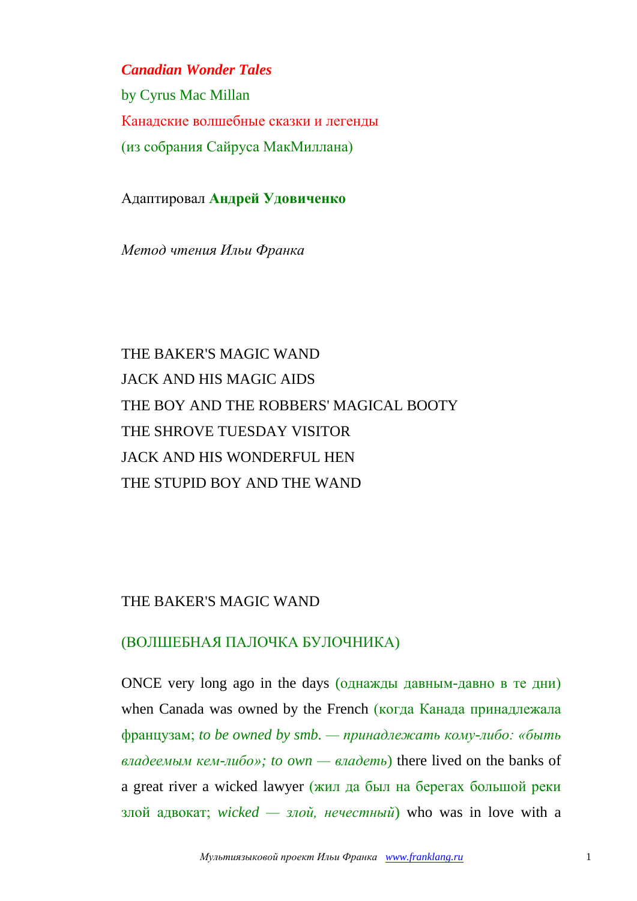*Canadian Wonder Tales*

by [Cyrus Mac Millan](http://www.mainlesson.com/author.php?author=macmillan) Канадские волшебные сказки и легенды (из собрания Сайруса МакМиллана)

Адаптировал **Андрей Удовиченко**

*Метод чтения Ильи Франка*

# THE BAKER'S MAGIC WAND JACK AND HIS MAGIC AIDS THE BOY AND THE ROBBERS' MAGICAL BOOTY THE SHROVE TUESDAY VISITOR JACK AND HIS WONDERFUL HEN THE STUPID BOY AND THE WAND

#### THE BAKER'S MAGIC WAND

#### (ВОЛШЕБНАЯ ПАЛОЧКА БУЛОЧНИКА)

ONCE very long ago in the days (однажды давным-давно в те дни) when Canada was owned by the French (когда Канада принадлежала французам; *to be owned by smb. — принадлежать кому-либо: «быть владеемым кем-либо»; to own — владеть*) there lived on the banks of a great river a wicked lawyer (жил да был на берегах большой реки злой адвокат; *wicked — злой, нечестный*) who was in love with a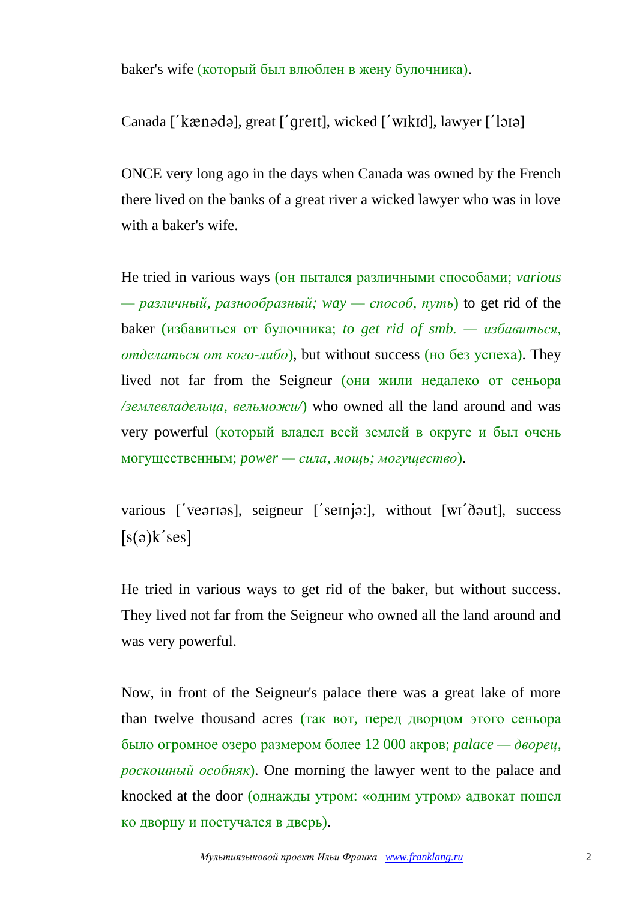baker's wife (который был влюблен в жену булочника).

Canada ['kænədə], great ['qreɪt], wicked ['wikɪd], lawyer ['lɔɪə]

ONCE very long ago in the days when Canada was owned by the French there lived on the banks of a great river a wicked lawyer who was in love with a baker's wife.

He tried in various ways (он пытался различными способами; *various*  — *различный, разнообразный; way — способ, путь*) to get rid of the baker (избавиться от булочника; *to get rid of smb. — избавиться, отделаться от кого-либо*), but without success (но без успеха). They lived not far from the Seigneur (они жили недалеко от сеньора */землевладельца, вельможи/*) who owned all the land around and was very powerful (который владел всей землей в округе и был очень могущественным; *power — сила, мощь; могущество*).

various ['vearias], seigneur ['seinja:], without  $[wI'$ daut], success  $[s(a)k'ses]$ 

He tried in various ways to get rid of the baker, but without success. They lived not far from the Seigneur who owned all the land around and was very powerful.

Now, in front of the Seigneur's palace there was a great lake of more than twelve thousand acres (так вот, перед дворцом этого сеньора было огромное озеро размером более 12 000 акров; *palace — дворец, роскошный особняк*). One morning the lawyer went to the palace and knocked at the door (однажды утром: «одним утром» адвокат пошел ко дворцу и постучался в дверь).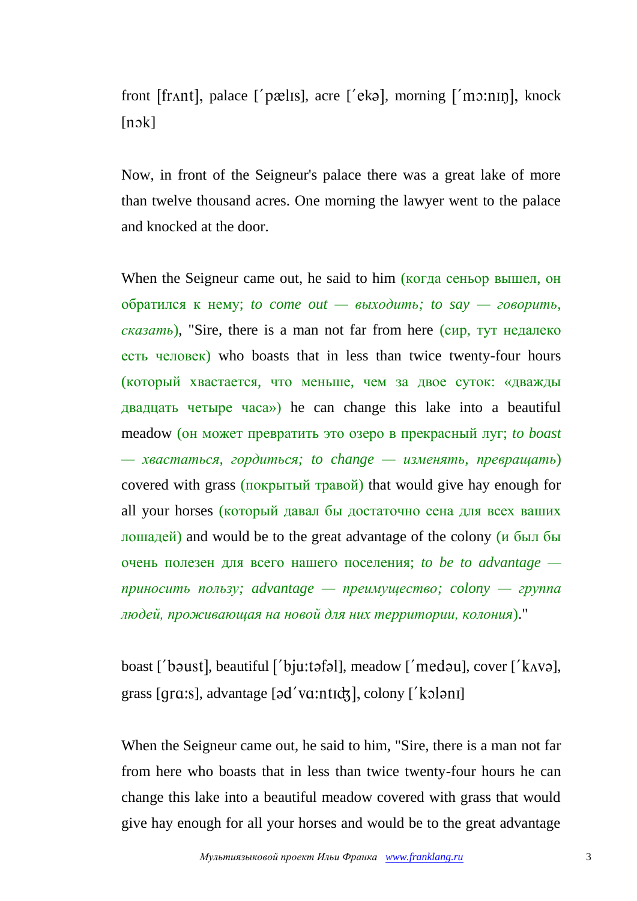front [fr $\Lambda$ nt], palace ['pælɪs], acre ['ekə], morning ['mo:nɪŋ], knock  $[n \circ k]$ 

Now, in front of the Seigneur's palace there was a great lake of more than twelve thousand acres. One morning the lawyer went to the palace and knocked at the door.

When the Seigneur came out, he said to him (когда сеньор вышел, он обратился к нему; *to come out — выходить; to say — говорить, сказать*), "Sire, there is a man not far from here (сир, тут недалеко есть человек) who boasts that in less than twice twenty-four hours (который хвастается, что меньше, чем за двое суток: «дважды двадцать четыре часа») he can change this lake into a beautiful meadow (он может превратить это озеро в прекрасный луг; *to boast — хвастаться, гордиться; to change — изменять, превращать*) covered with grass (покрытый травой) that would give hay enough for all your horses (который давал бы достаточно сена для всех ваших лошадей) and would be to the great advantage of the colony  $(\mu 6H)$ очень полезен для всего нашего поселения; *to be to advantage приносить пользу; advantage — преимущество; colony — группа людей, проживающая на новой для них территории, колония*)."

boast ['bəust], beautiful ['bju:təfəl], meadow ['medəu], cover [' $k$ <sub>A</sub>və], grass [grɑ:s], advantage [əd'vɑ:ntɪʤ], colony ['kɔlənɪ]

When the Seigneur came out, he said to him, "Sire, there is a man not far from here who boasts that in less than twice twenty-four hours he can change this lake into a beautiful meadow covered with grass that would give hay enough for all your horses and would be to the great advantage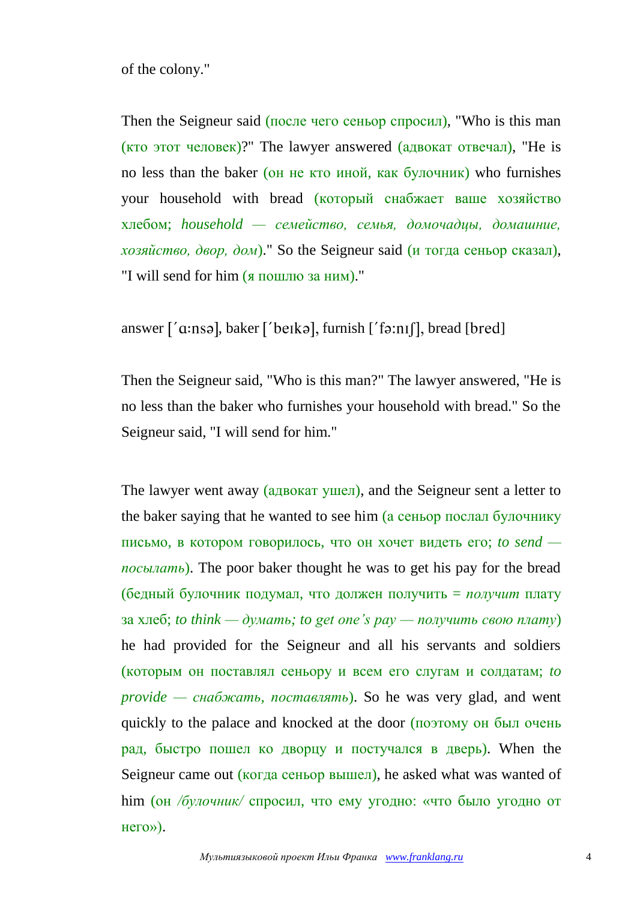of the colony."

Then the Seigneur said (после чего сеньор спросил), "Who is this man  $(KTO TOT TEDBER)$ ?" The lawyer answered  $(AABOKAT OTBEYA)$ . "He is no less than the baker (он не кто иной, как булочник) who furnishes your household with bread (который снабжает ваше хозяйство хлебом; *household — семейство, семья, домочадцы, домашние, хозяйство, двор, дом*)." So the Seigneur said (и тогда сеньор сказал), "I will send for him (я пошлю за ним)."

answer  $\lceil \text{′a:nsə} \rceil$ , baker  $\lceil \text{′be} \rceil$ , furnish  $\lceil \text{′fa:ni} \rceil$ , bread  $\lceil \text{bred} \rceil$ 

Then the Seigneur said, "Who is this man?" The lawyer answered, "He is no less than the baker who furnishes your household with bread." So the Seigneur said, "I will send for him."

The lawyer went away (адвокат ушел), and the Seigneur sent a letter to the baker saying that he wanted to see him (а сеньор послал булочнику письмо, в котором говорилось, что он хочет видеть его; *to send посылать*). The poor baker thought he was to get his pay for the bread (бедный булочник подумал, что должен получить = *получит* плату за хлеб; *to think — думать; to get one's pay — получить свою плату*) he had provided for the Seigneur and all his servants and soldiers (которым он поставлял сеньору и всем его слугам и солдатам; *to provide — снабжать, поставлять*). So he was very glad, and went quickly to the palace and knocked at the door (поэтому он был очень рад, быстро пошел ко дворцу и постучался в дверь). When the Seigneur came out (когда сеньор вышел), he asked what was wanted of him (он */булочник/* спросил, что ему угодно: «что было угодно от него»).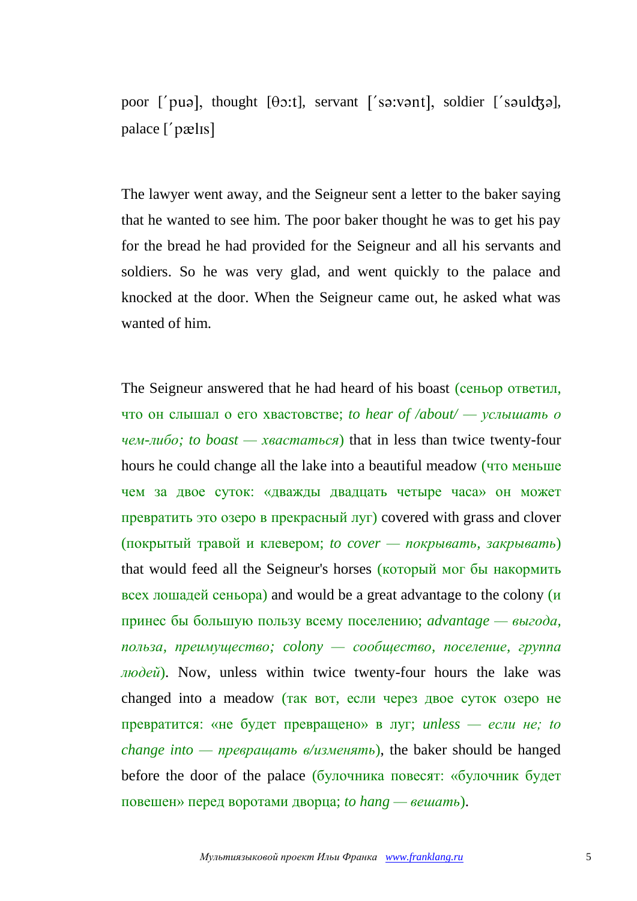poor ['puə], thought  $[\theta$ :t], servant ['sə:vənt], soldier ['səuldʒə], palace ['pælɪs]

The lawyer went away, and the Seigneur sent a letter to the baker saying that he wanted to see him. The poor baker thought he was to get his pay for the bread he had provided for the Seigneur and all his servants and soldiers. So he was very glad, and went quickly to the palace and knocked at the door. When the Seigneur came out, he asked what was wanted of him.

The Seigneur answered that he had heard of his boast (сеньор ответил, что он слышал о его хвастовстве; *to hear of /about/ — услышать о чем-либо; to boast — хвастаться*) that in less than twice twenty-four hours he could change all the lake into a beautiful meadow (что меньше чем за двое суток: «дважды двадцать четыре часа» он может превратить это озеро в прекрасный луг) covered with grass and clover (покрытый травой и клевером; *to cover — покрывать, закрывать*) that would feed all the Seigneur's horses (который мог бы накормить всех лошадей сеньора) and would be a great advantage to the colony  $(\mu)$ принес бы большую пользу всему поселению; *advantage — выгода, польза, преимущество; colony — сообщество, поселение, группа людей*). Now, unless within twice twenty-four hours the lake was changed into a meadow (так вот, если через двое суток озеро не превратится: «не будет превращено» в луг; *unless — если не; to change into — превращать в/изменять*), the baker should be hanged before the door of the palace (булочника повесят: «булочник будет повешен» перед воротами дворца; *to hang — вешать*).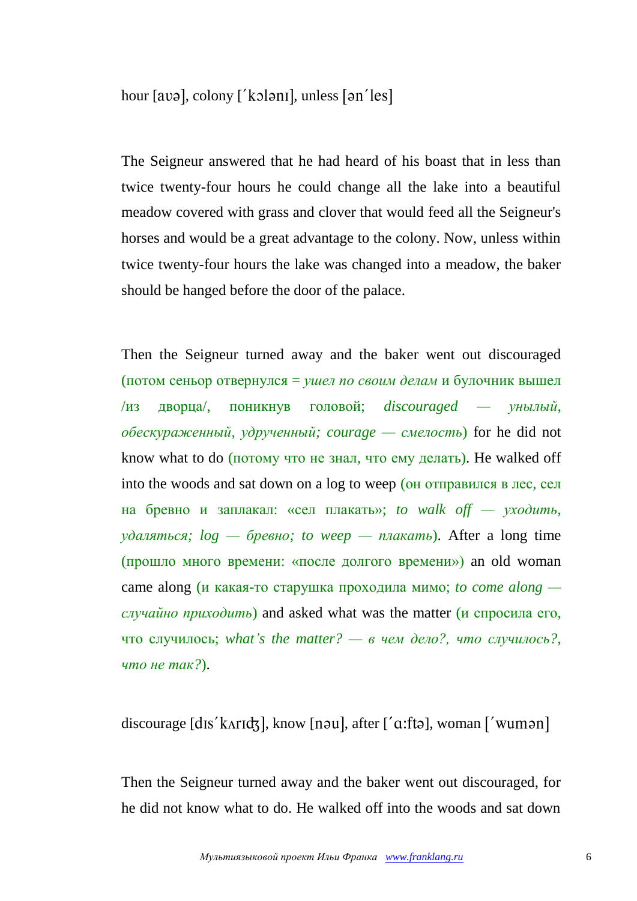hour [avə], colony ['kɔlənɪ], unless [ən'les]

The Seigneur answered that he had heard of his boast that in less than twice twenty-four hours he could change all the lake into a beautiful meadow covered with grass and clover that would feed all the Seigneur's horses and would be a great advantage to the colony. Now, unless within twice twenty-four hours the lake was changed into a meadow, the baker should be hanged before the door of the palace.

Then the Seigneur turned away and the baker went out discouraged (потом сеньор отвернулся = *ушел по своим делам* и булочник вышел /из дворца/, поникнув головой; *discouraged — унылый, обескураженный, удрученный; courage — смелость*) for he did not know what to do (потому что не знал, что ему делать). He walked off into the woods and sat down on a log to weep (он отправился в лес, сел на бревно и заплакал: «сел плакать»; *to walk off — уходить, удаляться; log — бревно; to weep — плакать*). After a long time (прошло много времени: «после долгого времени») an old woman came along (и какая-то старушка проходила мимо; *to come along случайно приходить*) and asked what was the matter (и спросила его, что случилось; *what's the matter? — в чем дело?, что случилось?, что не так?*).

#### discourage  $[dis'karld,]$ , know  $[nou]$ , after  $[}'a$ : fta $]$ , woman  $['wumon]$

Then the Seigneur turned away and the baker went out discouraged, for he did not know what to do. He walked off into the woods and sat down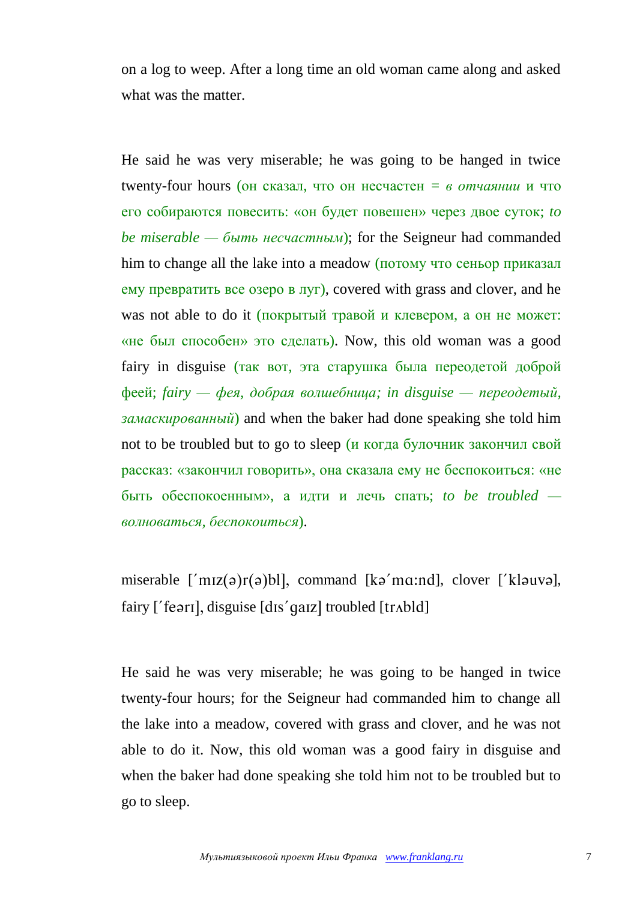on a log to weep. After a long time an old woman came along and asked what was the matter.

He said he was very miserable; he was going to be hanged in twice twenty-four hours (он сказал, что он несчастен *= в отчаянии* и что его собираются повесить: «он будет повешен» через двое суток; *to be miserable — быть несчастным*); for the Seigneur had commanded him to change all the lake into a meadow (потому что сеньор приказал ему превратить все озеро в луг), covered with grass and clover, and he was not able to do it (покрытый травой и клевером, а он не может: «не был способен» это сделать). Now, this old woman was a good fairy in disguise (так вот, эта старушка была переодетой доброй феей; *fairy — фея, добрая волшебница; in disguise — переодетый, замаскированный*) and when the baker had done speaking she told him not to be troubled but to go to sleep (и когда булочник закончил свой рассказ: «закончил говорить», она сказала ему не беспокоиться: «не быть обеспокоенным», а идти и лечь спать; *to be troubled волноваться, беспокоиться*).

miserable  $\lceil \text{miz}(\theta) \rceil$  (a)bll, command  $\lceil k\theta' \text{mzi} \rceil$ , clover  $\lceil k \text{auv} \rceil$ ,  $fairy$  ['feəri], disguise  $[dis'qaz]$  troubled  $[trab]$ ]

He said he was very miserable; he was going to be hanged in twice twenty-four hours; for the Seigneur had commanded him to change all the lake into a meadow, covered with grass and clover, and he was not able to do it. Now, this old woman was a good fairy in disguise and when the baker had done speaking she told him not to be troubled but to go to sleep.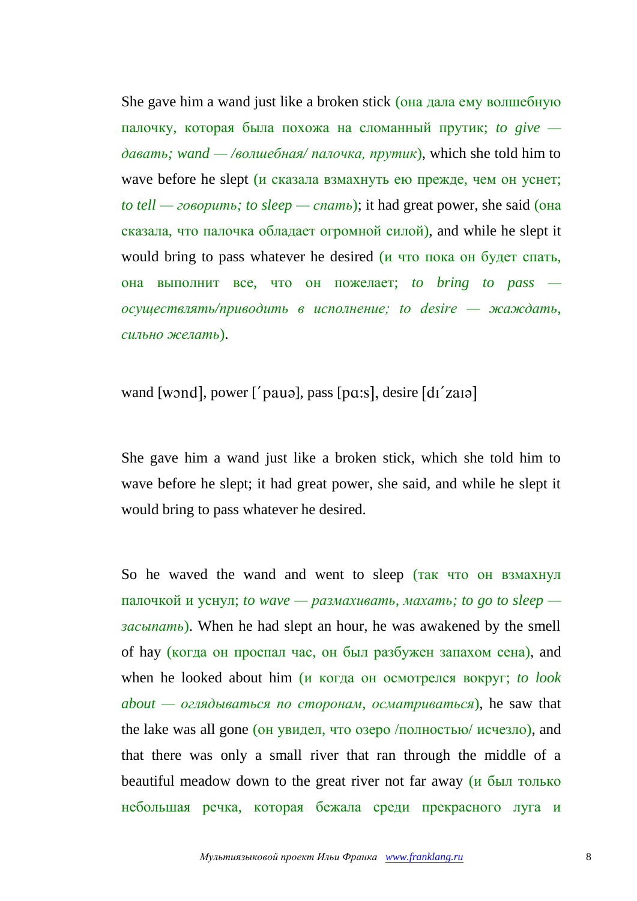She gave him a wand just like a broken stick (она дала ему волшебную палочку, которая была похожа на сломанный прутик; *to give давать; wand — /волшебная/ палочка, прутик*), which she told him to wave before he slept (и сказала взмахнуть ею прежде, чем он уснет; *to tell — говорить; to sleep — спать*); it had great power, she said (она сказала, что палочка обладает огромной силой), and while he slept it would bring to pass whatever he desired (и что пока он будет спать, она выполнит все, что он пожелает; *to bring to pass осуществлять/приводить в исполнение; to desire — жаждать, сильно желать*).

### wand [wond], power  $\lceil \cdot \rceil$  paus], pass [pa:s], desire  $\lceil \cdot \frac{d}{d} \rceil$  zaus]

She gave him a wand just like a broken stick, which she told him to wave before he slept; it had great power, she said, and while he slept it would bring to pass whatever he desired.

So he waved the wand and went to sleep (так что он взмахнул палочкой и уснул; *to wave — размахивать, махать; to go to sleep засыпать*). When he had slept an hour, he was awakened by the smell of hay (когда он проспал час, он был разбужен запахом сена), and when he looked about him (и когда он осмотрелся вокруг; *to look*   $about -o$ *глядываться по сторонам, осматриваться*), he saw that the lake was all gone (он увидел, что озеро /полностью/ исчезло), and that there was only a small river that ran through the middle of a beautiful meadow down to the great river not far away (и был только небольшая речка, которая бежала среди прекрасного луга и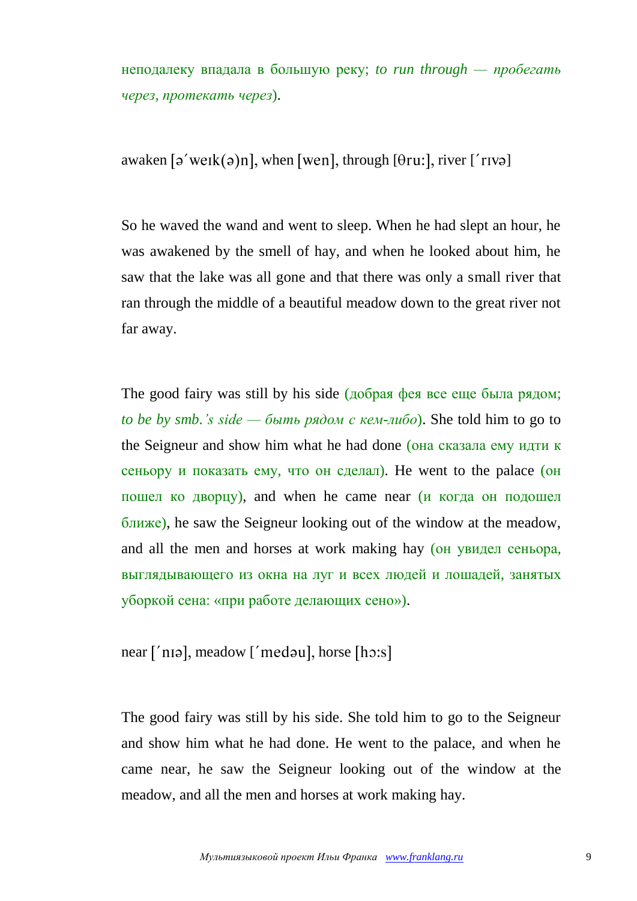неподалеку впадала в большую реку; *to run through — пробегать через, протекать через*).

awaken  $\lceil \varphi'$  werk $\varphi$ )n, when [wen], through  $\lceil \varphi$  [  $\varphi$ ], river  $\lceil \varphi'$  river

So he waved the wand and went to sleep. When he had slept an hour, he was awakened by the smell of hay, and when he looked about him, he saw that the lake was all gone and that there was only a small river that ran through the middle of a beautiful meadow down to the great river not far away.

The good fairy was still by his side (добрая фея все еще была рядом; *to be by smb.'s side — быть рядом с кем-либо*). She told him to go to the Seigneur and show him what he had done (она сказала ему идти к сеньору и показать ему, что он сделал). He went to the palace (он пошел ко дворцу), and when he came near (и когда он подошел ближе), he saw the Seigneur looking out of the window at the meadow, and all the men and horses at work making hay (он увидел сеньора, выглядывающего из окна на луг и всех людей и лошадей, занятых уборкой сена: «при работе делающих сено»).

 $near [n]$ , meadow  $[medau]$ , horse  $[hcs]$ 

The good fairy was still by his side. She told him to go to the Seigneur and show him what he had done. He went to the palace, and when he came near, he saw the Seigneur looking out of the window at the meadow, and all the men and horses at work making hay.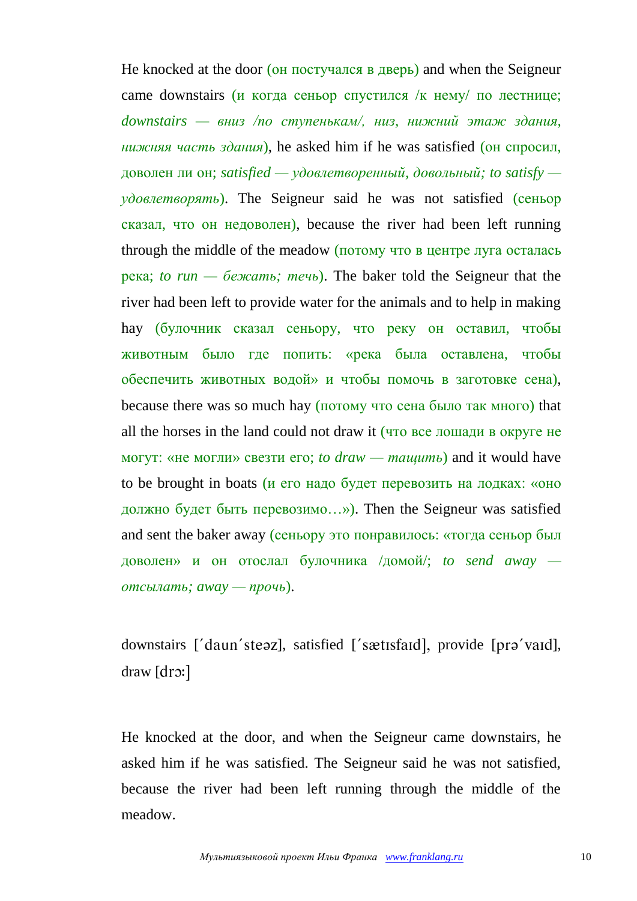He knocked at the door (он постучался в дверь) and when the Seigneur came downstairs (и когда сеньор спустился /к нему/ по лестнице; *downstairs — вниз /по ступенькам/, низ, нижний этаж здания, нижняя часть здания*), he asked him if he was satisfied (он спросил, доволен ли он; *satisfied — удовлетворенный, довольный; to satisfy удовлетворять*). The Seigneur said he was not satisfied (сеньор сказал, что он недоволен), because the river had been left running through the middle of the meadow (потому что в центре луга осталась река; *to run — бежать; течь*). The baker told the Seigneur that the river had been left to provide water for the animals and to help in making hay (булочник сказал сеньору, что реку он оставил, чтобы животным было где попить: «река была оставлена, чтобы обеспечить животных водой» и чтобы помочь в заготовке сена), because there was so much hay (потому что сена было так много) that all the horses in the land could not draw it (что все лошади в округе не могут: «не могли» свезти его; *to draw — тащить*) and it would have to be brought in boats (и его надо будет перевозить на лодках: «оно должно будет быть перевозимо…»). Then the Seigneur was satisfied and sent the baker away (сеньору это понравилось: «тогда сеньор был доволен» и он отослал булочника /домой/; *to send away отсылать; away — прочь*).

downstairs ['daun'steaz], satisfied ['sætisfaid], provide [pra'vaid], draw [dro:]

He knocked at the door, and when the Seigneur came downstairs, he asked him if he was satisfied. The Seigneur said he was not satisfied, because the river had been left running through the middle of the meadow.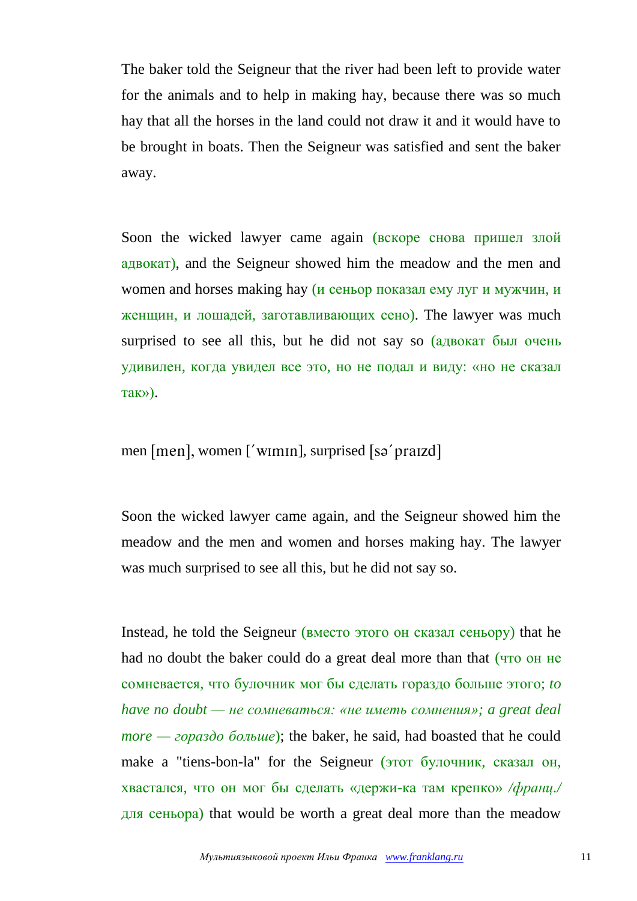The baker told the Seigneur that the river had been left to provide water for the animals and to help in making hay, because there was so much hay that all the horses in the land could not draw it and it would have to be brought in boats. Then the Seigneur was satisfied and sent the baker away.

Soon the wicked lawyer came again (вскоре снова пришел злой адвокат), and the Seigneur showed him the meadow and the men and women and horses making hay (и сеньор показал ему луг и мужчин, и женщин, и лошадей, заготавливающих сено). The lawyer was much surprised to see all this, but he did not say so (адвокат был очень удивилен, когда увидел все это, но не подал и виду: «но не сказал так»).

men [men], women ['wimin], surprised [sə' praizd]

Soon the wicked lawyer came again, and the Seigneur showed him the meadow and the men and women and horses making hay. The lawyer was much surprised to see all this, but he did not say so.

Instead, he told the Seigneur (вместо этого он сказал сеньору) that he had no doubt the baker could do a great deal more than that (что он не сомневается, что булочник мог бы сделать гораздо больше этого; *to have no doubt — не сомневаться: «не иметь сомнения»; a great deal more — гораздо больше*); the baker, he said, had boasted that he could make a "tiens-bon-la" for the Seigneur (этот булочник, сказал он, хвастался, что он мог бы сделать «держи-ка там крепко» */франц./* для сеньора) that would be worth a great deal more than the meadow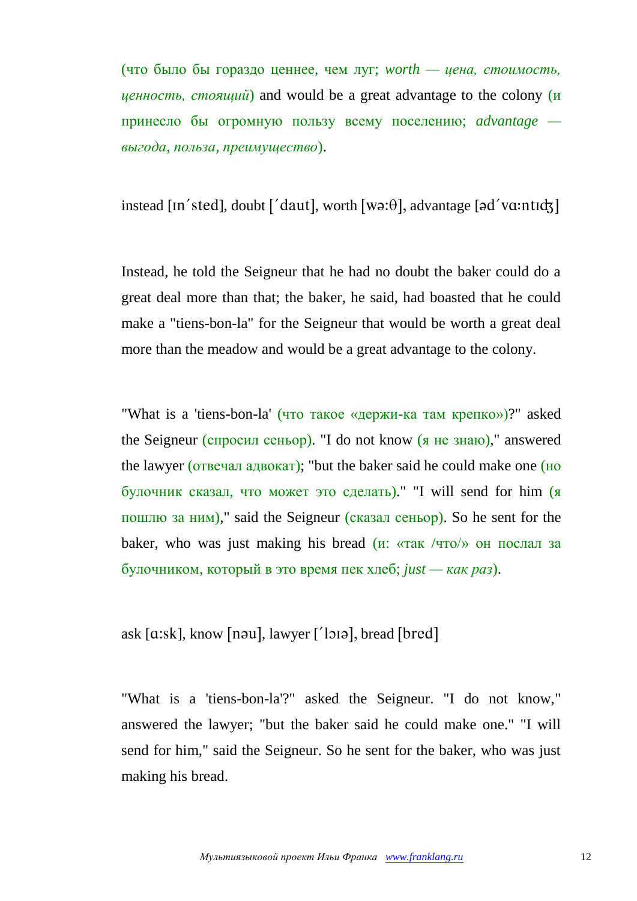(что было бы гораздо ценнее, чем луг; *worth — цена, стоимость, ценность, стоящий*) and would be a great advantage to the colony (и принесло бы огромную пользу всему поселению; *advantage выгода, польза, преимущество*).

instead [In'sted], doubt  $\lceil$ 'daut], worth  $[wa:\theta]$ , advantage  $\lceil ad'va:\text{ntid} \rceil$ 

Instead, he told the Seigneur that he had no doubt the baker could do a great deal more than that; the baker, he said, had boasted that he could make a "tiens-bon-la" for the Seigneur that would be worth a great deal more than the meadow and would be a great advantage to the colony.

"What is a 'tiens-bon-la' (что такое «держи-ка там крепко»)?" asked the Seigneur (спросил сеньор). "I do not know (я не знаю)," answered the lawyer (отвечал адвокат); "but the baker said he could make one (но булочник сказал, что может это сделать)." "I will send for him (я пошлю за ним)," said the Seigneur (сказал сеньор). So he sent for the baker, who was just making his bread  $(\mu: \langle \text{Tr} \times \rangle \text{Tr} \times \text{Tr} \times \text{Tr} \times \text{Tr} \times \text{Tr} \times \text{Tr} \times \text{Tr} \times \text{Tr} \times \text{Tr} \times \text{Tr} \times \text{Tr} \times \text{Tr} \times \text{Tr} \times \text{Tr} \times \text{Tr} \times \text{Tr} \times \text{Tr} \times \text{Tr} \times \text{Tr} \times \text{Tr} \times \text{Tr} \times \text{Tr} \times \text{Tr} \times \text{Tr} \times \$ булочником, который в это время пек хлеб; *just — как раз*).

ask  $[a:sk]$ , know  $[nou]$ , lawyer  $[$ 'lo $i]$ , bread  $[bred]$ 

"What is a 'tiens-bon-la'?" asked the Seigneur. "I do not know," answered the lawyer; "but the baker said he could make one." "I will send for him," said the Seigneur. So he sent for the baker, who was just making his bread.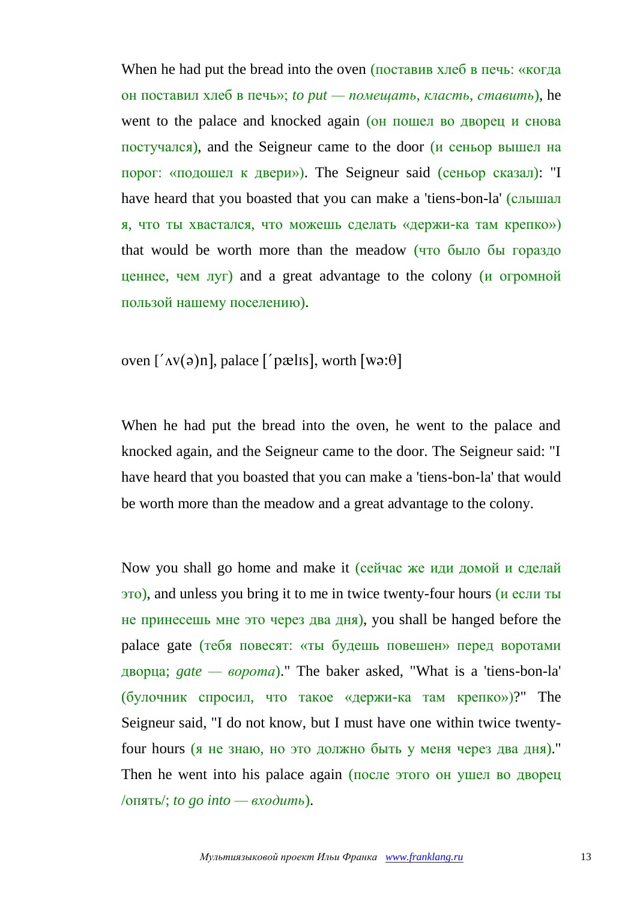When he had put the bread into the oven (поставив хлеб в печь: «когда он поставил хлеб в печь»; *to put — помещать, класть, ставить*), he went to the palace and knocked again (он пошел во дворец и снова постучался), and the Seigneur came to the door (и сеньор вышел на порог: «подошел к двери»). The Seigneur said (сеньор сказал): "I have heard that you boasted that you can make a 'tiens-bon-la' (слышал я, что ты хвастался, что можешь сделать «держи-ка там крепко») that would be worth more than the meadow (что было бы гораздо ценнее, чем луг) and a great advantage to the colony (и огромной пользой нашему поселению).

## oven  $\left[ \Delta v(\mathsf{a})n \right]$ , palace  $\left[ \Delta v(\mathsf{a})n \right]$ , worth  $\left[ w(\mathsf{a})n \right]$

When he had put the bread into the oven, he went to the palace and knocked again, and the Seigneur came to the door. The Seigneur said: "I have heard that you boasted that you can make a 'tiens-bon-la' that would be worth more than the meadow and a great advantage to the colony.

Now you shall go home and make it (сейчас же иди домой и сделай это), and unless you bring it to me in twice twenty-four hours (и если ты не принесешь мне это через два дня), you shall be hanged before the palace gate (тебя повесят: «ты будешь повешен» перед воротами дворца; *gate — ворота*)." The baker asked, "What is a 'tiens-bon-la' (булочник спросил, что такое «держи-ка там крепко»)?" The Seigneur said, "I do not know, but I must have one within twice twentyfour hours (я не знаю, но это должно быть у меня через два дня)." Then he went into his palace again (после этого он ушел во дворец /опять/; *to go into — входить*).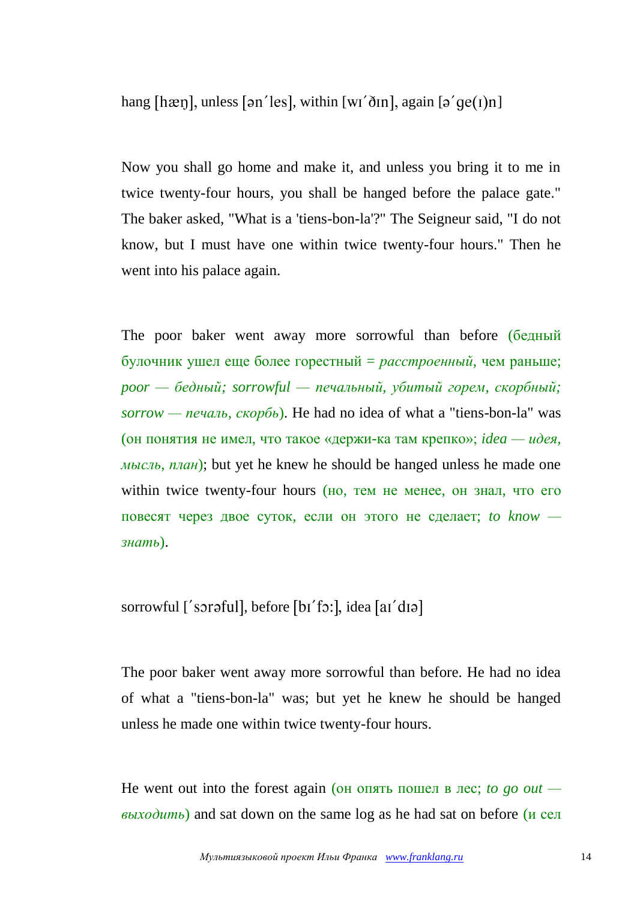hang [hæn], unless [ən'les], within [wɪ'ðɪn], again [ə' $ge(1)$ n]

Now you shall go home and make it, and unless you bring it to me in twice twenty-four hours, you shall be hanged before the palace gate." The baker asked, "What is a 'tiens-bon-la'?" The Seigneur said, "I do not know, but I must have one within twice twenty-four hours." Then he went into his palace again.

The poor baker went away more sorrowful than before (бедный булочник ушел еще более горестный = *расстроенный*, чем раньше; *poor — бедный; sorrowful — печальный, убитый горем, скорбный; sorrow — печаль, скорбь*). He had no idea of what a "tiens-bon-la" was (он понятия не имел, что такое «держи-ка там крепко»; *idea — идея, мысль, план*); but yet he knew he should be hanged unless he made one within twice twenty-four hours (но, тем не менее, он знал, что его повесят через двое суток, если он этого не сделает; *to know знать*).

sorrowful ['soraful], before [bi'fo:], idea [ai'dɪə]

The poor baker went away more sorrowful than before. He had no idea of what a "tiens-bon-la" was; but yet he knew he should be hanged unless he made one within twice twenty-four hours.

He went out into the forest again (он опять пошел в лес; *to go out выходить*) and sat down on the same log as he had sat on before (и сел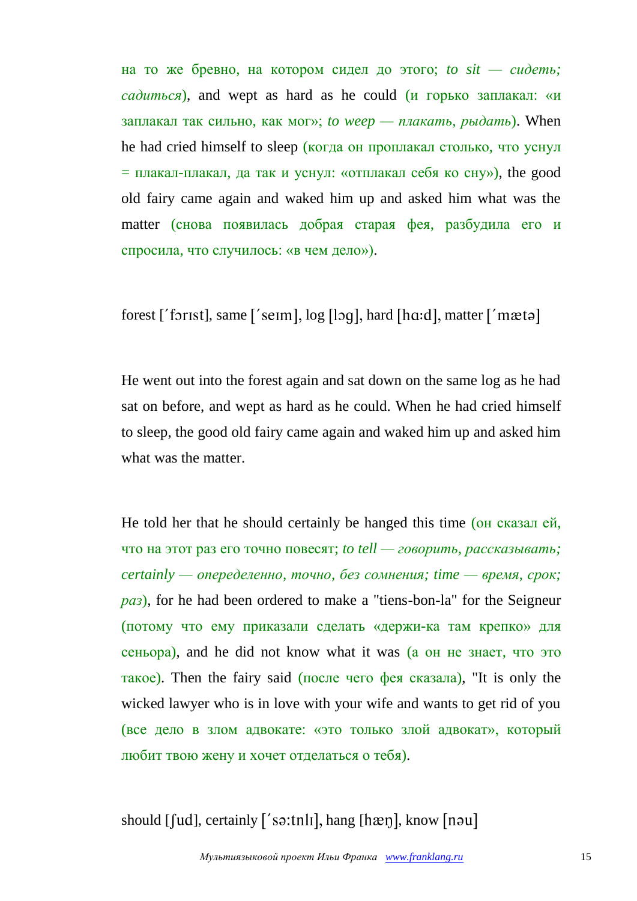на то же бревно, на котором сидел до этого; *to sit — сидеть; садиться*), and wept as hard as he could (и горько заплакал: «и заплакал так сильно, как мог»; *to weep — плакать, рыдать*). When he had cried himself to sleep (когда он проплакал столько, что уснул  $=$  плакал-плакал, да так и уснул: «отплакал себя ко сну»), the good old fairy came again and waked him up and asked him what was the matter (снова появилась добрая старая фея, разбудила его и спросила, что случилось: «в чем дело»).

forest ['forist], same ['seim],  $log$  [log], hard [hɑ:d], matter ['mætə]

He went out into the forest again and sat down on the same log as he had sat on before, and wept as hard as he could. When he had cried himself to sleep, the good old fairy came again and waked him up and asked him what was the matter.

He told her that he should certainly be hanged this time (он сказал ей, что на этот раз его точно повесят; *to tell — говорить, рассказывать; certainly — опеределенно, точно, без сомнения; time — время, срок; раз*), for he had been ordered to make a "tiens-bon-la" for the Seigneur (потому что ему приказали сделать «держи-ка там крепко» для сеньора), and he did not know what it was (а он не знает, что это такое). Then the fairy said (после чего фея сказала), "It is only the wicked lawyer who is in love with your wife and wants to get rid of you (все дело в злом адвокате: «это только злой адвокат», который любит твою жену и хочет отделаться о тебя).

should  $[$ [ud], certainly  $[$ 'sa:tnli], hang  $[$ hæŋ], know  $[$ nau]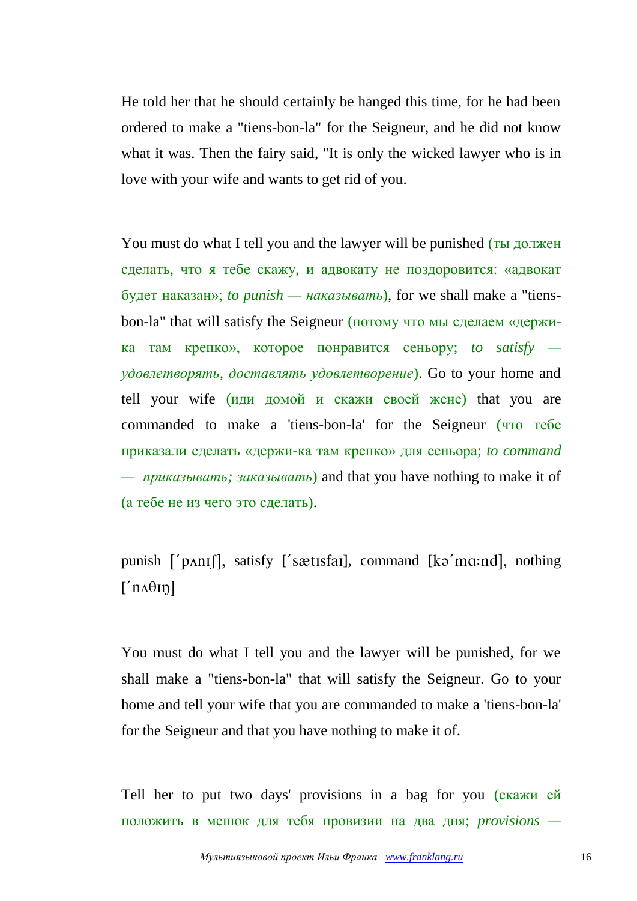He told her that he should certainly be hanged this time, for he had been ordered to make a "tiens-bon-la" for the Seigneur, and he did not know what it was. Then the fairy said, "It is only the wicked lawyer who is in love with your wife and wants to get rid of you.

You must do what I tell you and the lawyer will be punished (ты должен сделать, что я тебе скажу, и адвокату не поздоровится: «адвокат будет наказан»; *to punish — наказывать*), for we shall make a "tiensbon-la" that will satisfy the Seigneur (потому что мы сделаем «держика там крепко», которое понравится сеньору; *to satisfy удовлетворять, доставлять удовлетворение*). Go to your home and tell your wife (иди домой и скажи своей жене) that you are commanded to make a 'tiens-bon-la' for the Seigneur (что тебе приказали сделать «держи-ка там крепко» для сеньора; *to command — приказывать; заказывать*) and that you have nothing to make it of (а тебе не из чего это сделать).

punish  $\lceil \cdot \rceil$  pantilly satisfy  $\lceil \cdot \rceil$  satisfarly command  $\lceil \cdot \rceil$  ka mandly nothing  $\lceil n\mathbf{A}\theta\mathbf{I}\mathbf{n}\rceil$ 

You must do what I tell you and the lawyer will be punished, for we shall make a "tiens-bon-la" that will satisfy the Seigneur. Go to your home and tell your wife that you are commanded to make a 'tiens-bon-la' for the Seigneur and that you have nothing to make it of.

Tell her to put two days' provisions in a bag for you (скажи ей положить в мешок для тебя провизии на два дня; *provisions —*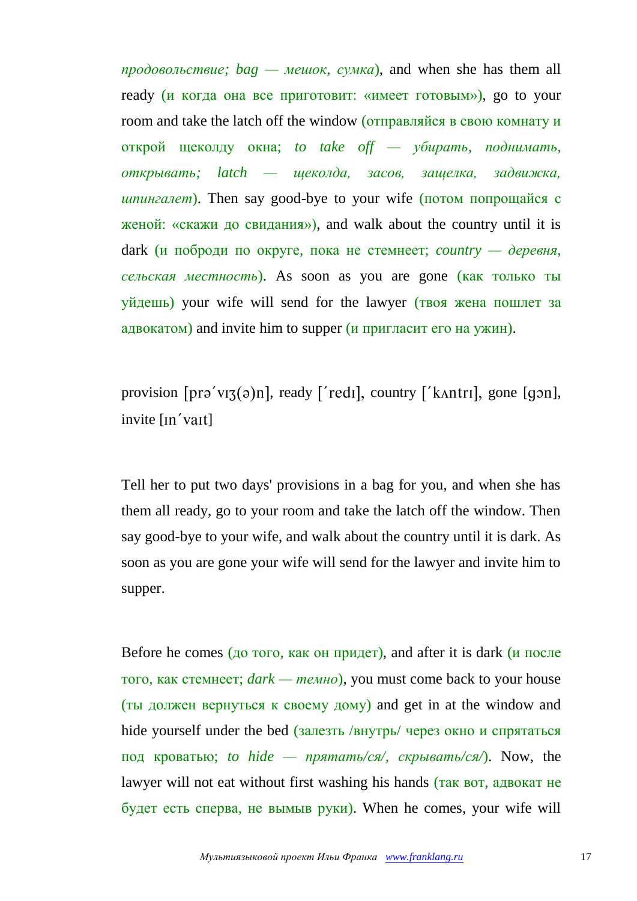*продовольствие; bag — мешок, сумка*), and when she has them all ready (и когда она все приготовит: «имеет готовым»), go to your room and take the latch off the window (отправляйся в свою комнату и открой щеколду окна; *to take off — убирать, поднимать, открывать; latch — щеколда, засов, защелка, задвижка, шпингалет*). Then say good-bye to your wife (потом попрощайся с женой: «скажи до свидания»), and walk about the country until it is dark (и поброди по округе, пока не стемнеет; *country — деревня, сельская местность*). As soon as you are gone (как только ты уйдешь) your wife will send for the lawyer (твоя жена пошлет за адвокатом) and invite him to supper (и пригласит его на ужин).

provision  $[pr\vartheta' vI\vartheta(a)]$ , ready ['redi], country ['kantri], gone  $[q\vartheta n]$ , invite [In'vait]

Tell her to put two days' provisions in a bag for you, and when she has them all ready, go to your room and take the latch off the window. Then say good-bye to your wife, and walk about the country until it is dark. As soon as you are gone your wife will send for the lawyer and invite him to supper.

Before he comes (до того, как он придет), and after it is dark ( $\mu$  после того, как стемнеет; *dark — темно*), you must come back to your house (ты должен вернуться к своему дому) and get in at the window and hide yourself under the bed (залезть /внутрь/ через окно и спрятаться под кроватью; *to hide — прятать/ся/, скрывать/ся/*). Now, the lawyer will not eat without first washing his hands (так вот, адвокат не будет есть сперва, не вымыв руки). When he comes, your wife will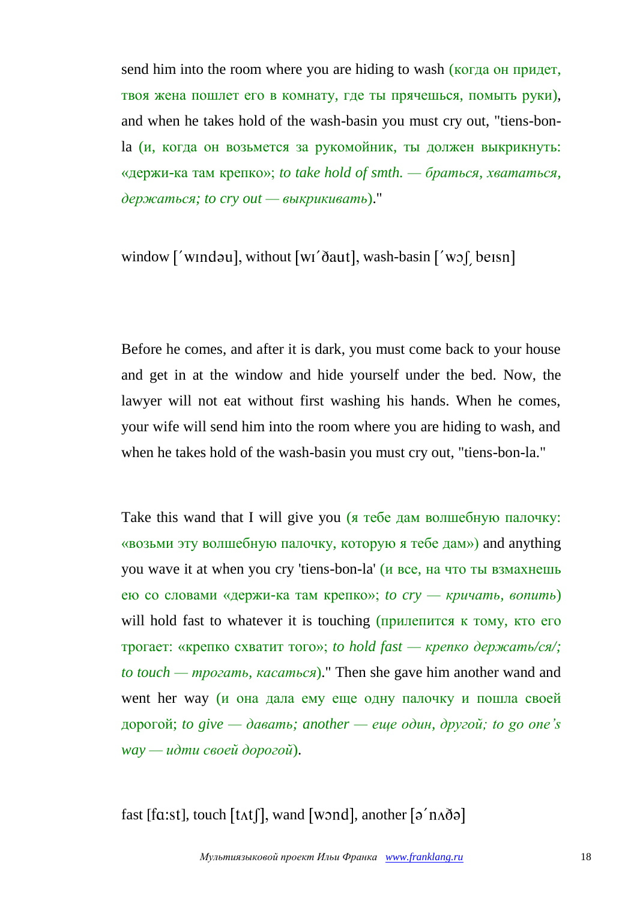send him into the room where you are hiding to wash (когда он придет, твоя жена пошлет его в комнату, где ты прячешься, помыть руки), and when he takes hold of the wash-basin you must cry out, "tiens-bonla (и, когда он возьмется за рукомойник, ты должен выкрикнуть: «держи-ка там крепко»; *to take hold of smth. — браться, хвататься, держаться; to cry out — выкрикивать*)."

window ['windəu], without [wi'daut], wash-basin ['wof beisn]

Before he comes, and after it is dark, you must come back to your house and get in at the window and hide yourself under the bed. Now, the lawyer will not eat without first washing his hands. When he comes, your wife will send him into the room where you are hiding to wash, and when he takes hold of the wash-basin you must cry out, "tiens-bon-la."

Take this wand that I will give you (я тебе дам волшебную палочку: «возьми эту волшебную палочку, которую я тебе дам») and anything you wave it at when you cry 'tiens-bon-la' (и все, на что ты взмахнешь ею со словами «держи-ка там крепко»; *to cry — кричать, вопить*) will hold fast to whatever it is touching (прилепится к тому, кто его трогает: «крепко схватит того»; *to hold fast — крепко держать/ся/; to touch — трогать, касаться*)." Then she gave him another wand and went her way (и она дала ему еще одну палочку и пошла своей дорогой; *to give — давать; another — еще один, другой; to go one's way — идти своей дорогой*).

fast [ $fa:st$ ], touch  $[tAt]$ ], wand [wond], another  $[a'n\delta a]$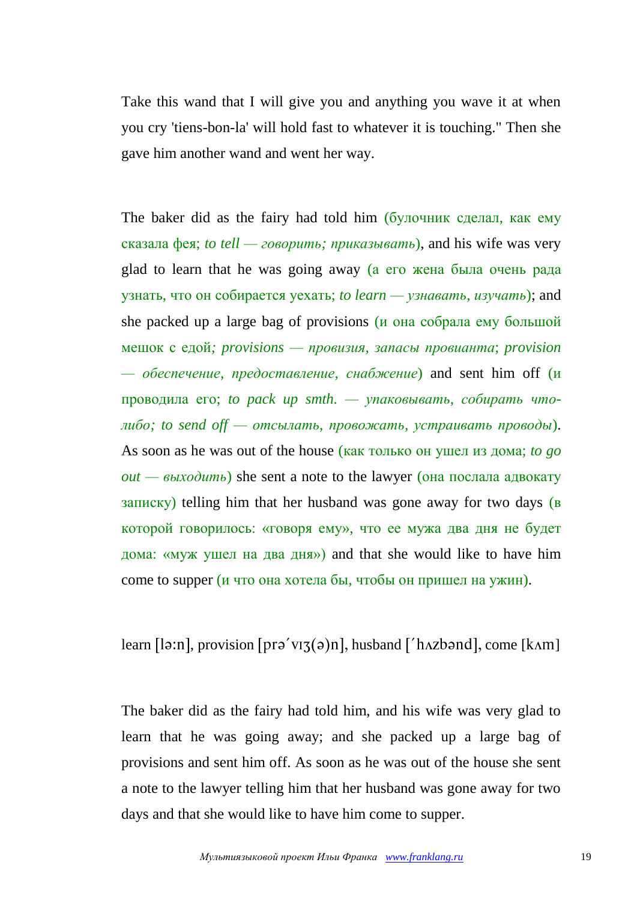Take this wand that I will give you and anything you wave it at when you cry 'tiens-bon-la' will hold fast to whatever it is touching." Then she gave him another wand and went her way.

The baker did as the fairy had told him (булочник сделал, как ему сказала фея; *to tell — говорить; приказывать*), and his wife was very glad to learn that he was going away (а его жена была очень рада узнать, что он собирается уехать; *to learn — узнавать, изучать*); and she packed up a large bag of provisions (и она собрала ему большой мешок с едой*; provisions — провизия, запасы провианта*; *provision — обеспечение, предоставление, снабжение*) and sent him off (и проводила его; *to pack up smth. — упаковывать, собирать чтолибо; to send off — отсылать, провожать, устраивать проводы*). As soon as he was out of the house (как только он ушел из дома; *to go*   $out - \theta$ *bixodumb*) she sent a note to the lawyer (она послала адвокату записку) telling him that her husband was gone away for two days (в которой говорилось: «говоря ему», что ее мужа два дня не будет дома: «муж ушел на два дня») and that she would like to have him come to supper (и что она хотела бы, чтобы он пришел на ужин).

learn [lə:n], provision [prə'vız $(\circ)$ n], husband ['h $\alpha$ zbənd], come [k $\alpha$ m]

The baker did as the fairy had told him, and his wife was very glad to learn that he was going away; and she packed up a large bag of provisions and sent him off. As soon as he was out of the house she sent a note to the lawyer telling him that her husband was gone away for two days and that she would like to have him come to supper.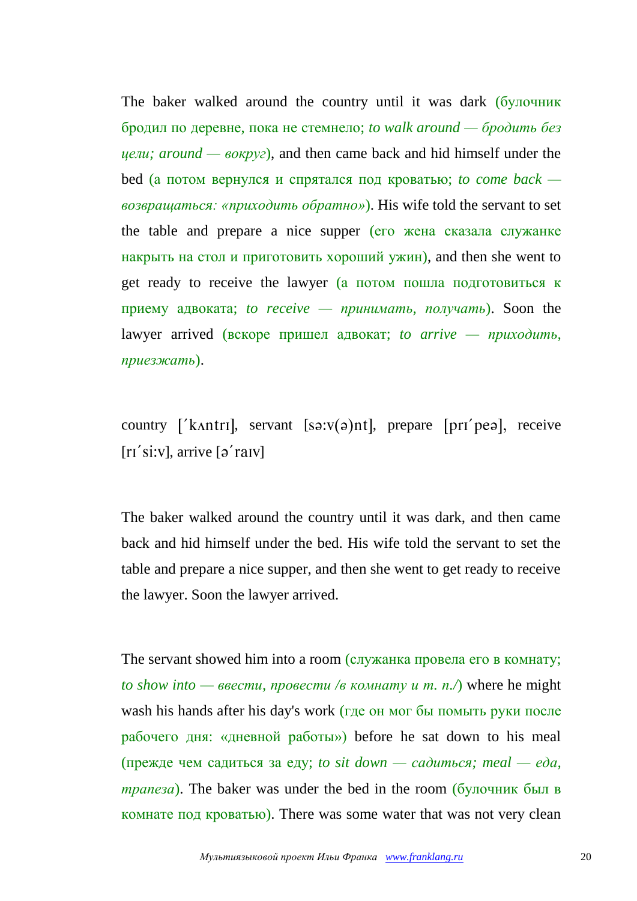The baker walked around the country until it was dark (булочник бродил по деревне, пока не стемнело; *to walk around — бродить без цели; around — вокруг*), and then came back and hid himself under the bed (а потом вернулся и спрятался под кроватью; *to come back возвращаться: «приходить обратно»*). His wife told the servant to set the table and prepare a nice supper (его жена сказала служанке накрыть на стол и приготовить хороший ужин), and then she went to get ready to receive the lawyer (а потом пошла подготовиться к приему адвоката; *to receive — принимать, получать*). Soon the lawyer arrived (вскоре пришел адвокат; *to arrive — приходить, приезжать*).

country [' $k$ Antri], servant [ $s$ 3: $v(s)$ nt], prepare [ $pri$  prea], receive  $[r1'si:V]$ , arrive  $\lceil 2'r a IV \rceil$ 

The baker walked around the country until it was dark, and then came back and hid himself under the bed. His wife told the servant to set the table and prepare a nice supper, and then she went to get ready to receive the lawyer. Soon the lawyer arrived.

The servant showed him into a room (служанка провела его в комнату; *to show into — ввести, провести /в комнату и т. п./*) where he might wash his hands after his day's work (где он мог бы помыть руки после рабочего дня: «дневной работы») before he sat down to his meal (прежде чем садиться за еду; *to sit down — садиться; meal — еда, трапеза*). The baker was under the bed in the room (булочник был в комнате под кроватью). There was some water that was not very clean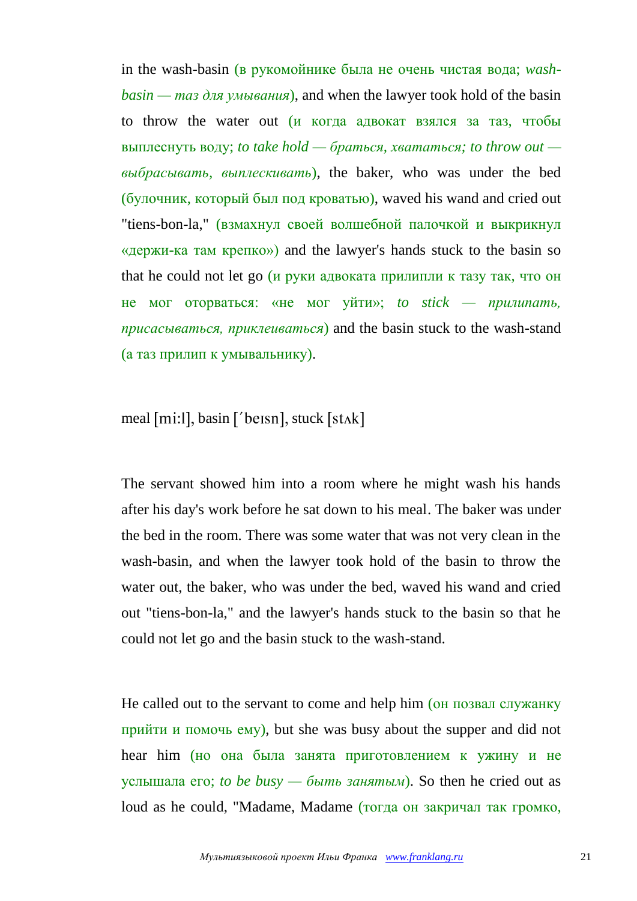in the wash-basin (в рукомойнике была не очень чистая вода; *washbasin — таз для умывания*), and when the lawyer took hold of the basin to throw the water out (и когда адвокат взялся за таз, чтобы выплеснуть воду; *to take hold — браться, хвататься; to throw out выбрасывать, выплескивать*), the baker, who was under the bed (булочник, который был под кроватью), waved his wand and cried out "tiens-bon-la," (взмахнул своей волшебной палочкой и выкрикнул «держи-ка там крепко») and the lawyer's hands stuck to the basin so that he could not let go (и руки адвоката прилипли к тазу так, что он не мог оторваться: «не мог уйти»; *to stick — прилипать, присасываться, приклеиваться*) and the basin stuck to the wash-stand (а таз прилип к умывальнику).

meal [mi:l], basin ['be $isn$ ], stuck [st $\Delta k$ ]

The servant showed him into a room where he might wash his hands after his day's work before he sat down to his meal. The baker was under the bed in the room. There was some water that was not very clean in the wash-basin, and when the lawyer took hold of the basin to throw the water out, the baker, who was under the bed, waved his wand and cried out "tiens-bon-la," and the lawyer's hands stuck to the basin so that he could not let go and the basin stuck to the wash-stand.

He called out to the servant to come and help him (он позвал служанку прийти и помочь ему), but she was busy about the supper and did not hear him (но она была занята приготовлением к ужину и не услышала его; *to be busy — быть занятым*). So then he cried out as loud as he could, "Madame, Madame (тогда он закричал так громко,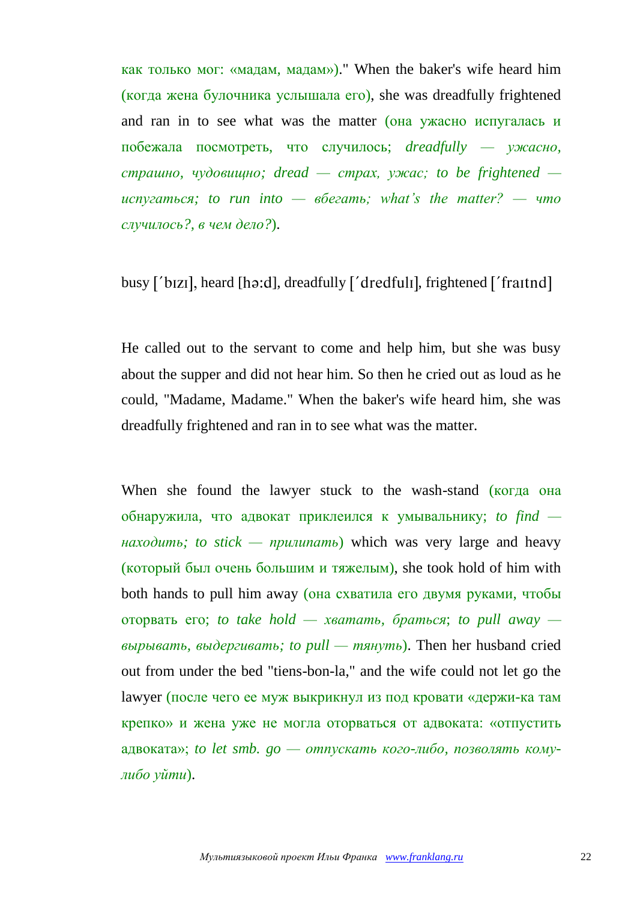как только мог: «мадам, мадам»)." When the baker's wife heard him (когда жена булочника услышала его), she was dreadfully frightened and ran in to see what was the matter (она ужасно испугалась и побежала посмотреть, что случилось; *dreadfully — ужасно, страшно, чудовищно; dread — страх, ужас; to be frightened испугаться; to run into — вбегать; what's the matter? — что случилось?, в чем дело?*).

busy ['bizi], heard [hə:d], dreadfully  $\iota$  dredfuli], frightened  $\iota$  fraithd]

He called out to the servant to come and help him, but she was busy about the supper and did not hear him. So then he cried out as loud as he could, "Madame, Madame." When the baker's wife heard him, she was dreadfully frightened and ran in to see what was the matter.

When she found the lawyer stuck to the wash-stand (когда она обнаружила, что адвокат приклеился к умывальнику; *to find находить; to stick — прилипать*) which was very large and heavy (который был очень большим и тяжелым), she took hold of him with both hands to pull him away (она схватила его двумя руками, чтобы оторвать его; *to take hold — хватать, браться*; *to pull away вырывать, выдергивать; to pull — тянуть*). Then her husband cried out from under the bed "tiens-bon-la," and the wife could not let go the lawyer (после чего ее муж выкрикнул из под кровати «держи-ка там крепко» и жена уже не могла оторваться от адвоката: «отпустить адвоката»; *to let smb. go — отпускать кого-либо, позволять комулибо уйти*).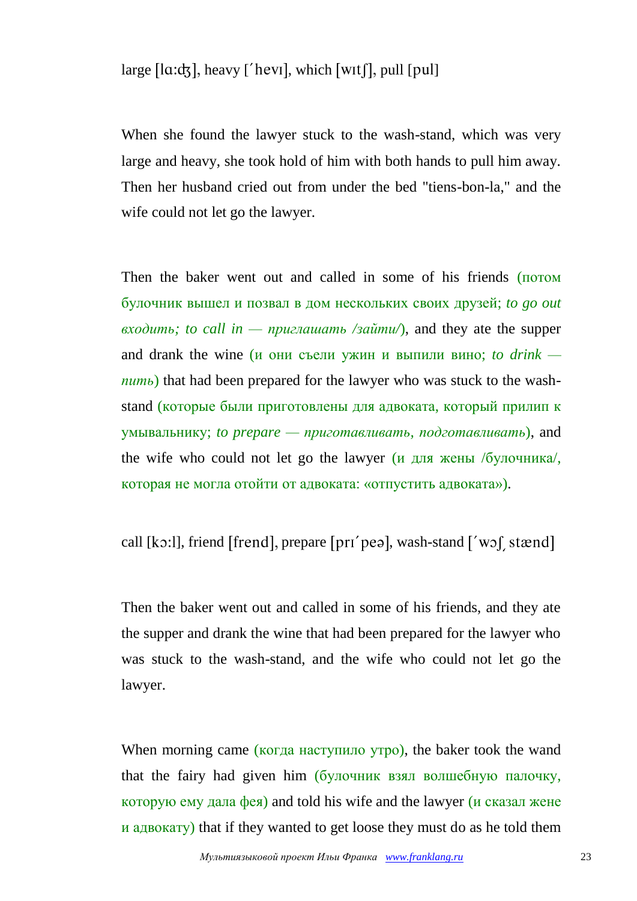large  $[a:dx]$ , heavy ['hevil, which [witf], pull [pul]

When she found the lawyer stuck to the wash-stand, which was very large and heavy, she took hold of him with both hands to pull him away. Then her husband cried out from under the bed "tiens-bon-la," and the wife could not let go the lawyer.

Then the baker went out and called in some of his friends (потом булочник вышел и позвал в дом нескольких своих друзей; *to go out входить; to call in — приглашать /зайти/*), and they ate the supper and drank the wine (и они съели ужин и выпили вино; *to drink пить*) that had been prepared for the lawyer who was stuck to the washstand (которые были приготовлены для адвоката, который прилип к умывальнику; *to prepare — приготавливать, подготавливать*), and the wife who could not let go the lawyer (и для жены /булочника/, которая не могла отойти от адвоката: «отпустить адвоката»).

call [ $k$ o:]], friend [frend], prepare [ $prr$  pea], wash-stand  $\lceil w \circ f \rceil$  stænd]

Then the baker went out and called in some of his friends, and they ate the supper and drank the wine that had been prepared for the lawyer who was stuck to the wash-stand, and the wife who could not let go the lawyer.

When morning came (когда наступило утро), the baker took the wand that the fairy had given him (булочник взял волшебную палочку, которую ему дала фея) and told his wife and the lawyer (и сказал жене и адвокату) that if they wanted to get loose they must do as he told them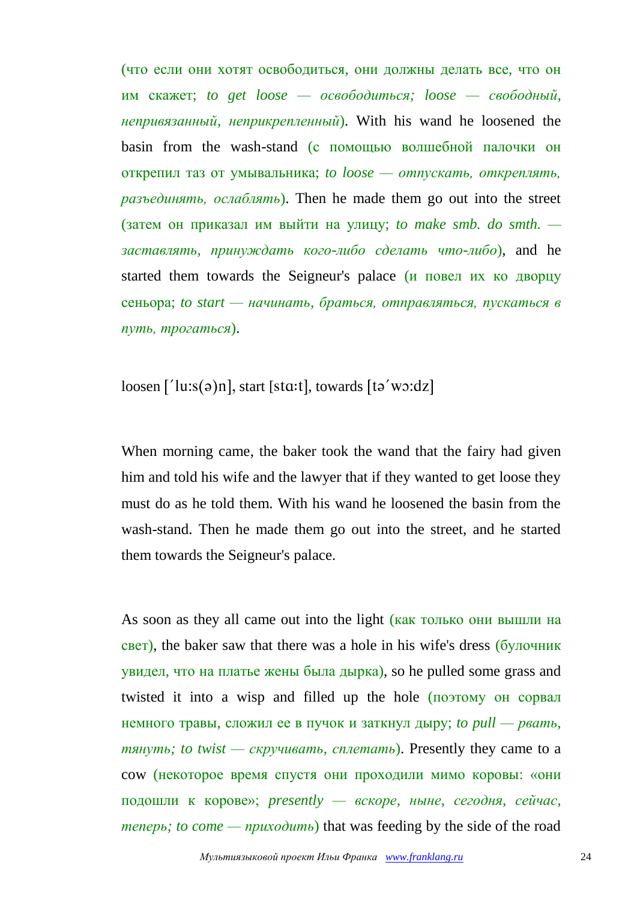(что если они хотят освободиться, они должны делать все, что он им скажет; *to get loose — освободиться; loose — свободный, непривязанный, неприкрепленный*). With his wand he loosened the basin from the wash-stand (с помощью волшебной палочки он открепил таз от умывальника; *to loose — отпускать, откреплять, разъединять, ослаблять*). Then he made them go out into the street (затем он приказал им выйти на улицу; *to make smb. do smth. заставлять, принуждать кого-либо сделать что-либо*), and he started them towards the Seigneur's palace (и повел их ко дворцу сеньора; *to start — начинать, браться, отправляться, пускаться в путь, трогаться*).

 $\log_{10}$  ['lu:s(a)n], start [sta:t], towards [ta'wo:dz]

When morning came, the baker took the wand that the fairy had given him and told his wife and the lawyer that if they wanted to get loose they must do as he told them. With his wand he loosened the basin from the wash-stand. Then he made them go out into the street, and he started them towards the Seigneur's palace.

As soon as they all came out into the light (как только они вышли на свет), the baker saw that there was a hole in his wife's dress (булочник увидел, что на платье жены была дырка), so he pulled some grass and twisted it into a wisp and filled up the hole (поэтому он сорвал немного травы, сложил ее в пучок и заткнул дыру; *to pull — рвать, тянуть; to twist — скручивать, сплетать*). Presently they came to a cow (некоторое время спустя они проходили мимо коровы: «они подошли к корове»; *presently — вскоре, ныне, сегодня, сейчас, теперь; to come — приходить*) that was feeding by the side of the road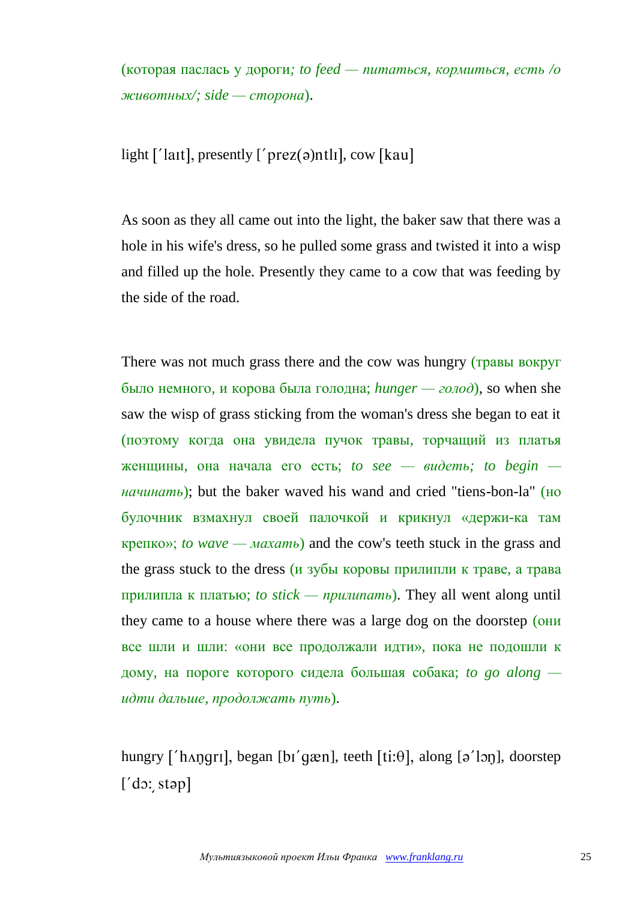(которая паслась у дороги*; to feed — питаться, кормиться, есть /о животных/; side — сторона*).

light  $\lceil \cdot \rceil$  and, presently  $\lceil \cdot \rceil$  prez(a) ntlil, cow [kau]

As soon as they all came out into the light, the baker saw that there was a hole in his wife's dress, so he pulled some grass and twisted it into a wisp and filled up the hole. Presently they came to a cow that was feeding by the side of the road.

There was not much grass there and the cow was hungry (травы вокруг было немного, и корова была голодна; *hunger — голод*), so when she saw the wisp of grass sticking from the woman's dress she began to eat it (поэтому когда она увидела пучок травы, торчащий из платья женщины, она начала его есть; *to see — видеть; to begin начинать*); but the baker waved his wand and cried "tiens-bon-la" (но булочник взмахнул своей палочкой и крикнул «держи-ка там крепко»; *to wave — махать*) and the cow's teeth stuck in the grass and the grass stuck to the dress (и зубы коровы прилипли к траве, а трава прилипла к платью; *to stick — прилипать*). They all went along until they came to a house where there was a large dog on the doorstep (они все шли и шли: «они все продолжали идти», пока не подошли к дому, на пороге которого сидела большая собака; *to go along идти дальше, продолжать путь*).

hungry ['hʌŋqrɪ], began [bɪ'qæn], teeth  $[ti:\theta]$ , along  $[\theta']$ on], doorstep  $[$ 'do: stəp]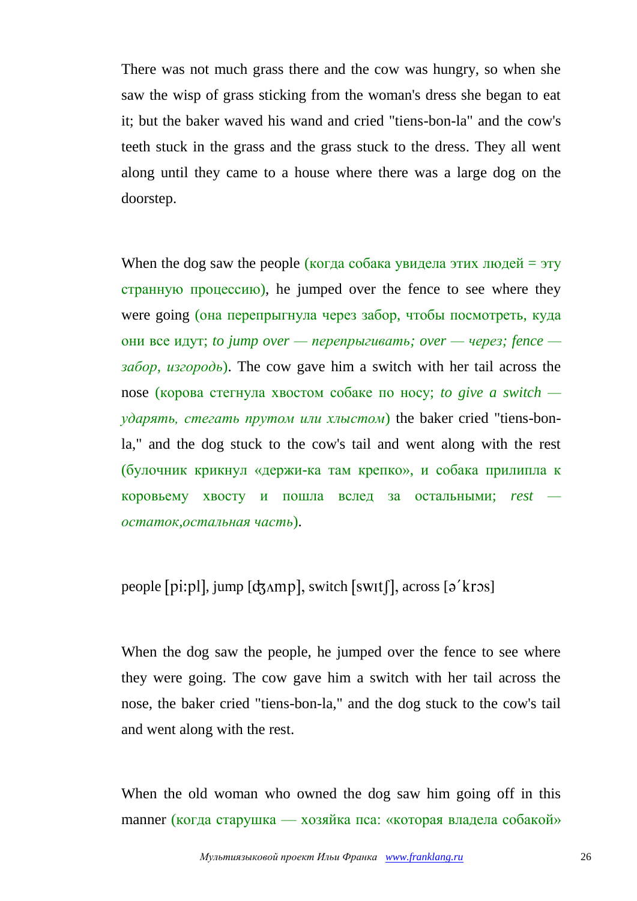There was not much grass there and the cow was hungry, so when she saw the wisp of grass sticking from the woman's dress she began to eat it; but the baker waved his wand and cried "tiens-bon-la" and the cow's teeth stuck in the grass and the grass stuck to the dress. They all went along until they came to a house where there was a large dog on the doorstep.

When the dog saw the people (когда собака увидела этих людей = эту странную процессию), he jumped over the fence to see where they were going (она перепрыгнула через забор, чтобы посмотреть, куда они все идут; *to jump over — перепрыгивать; over — через; fence забор, изгородь*). The cow gave him a switch with her tail across the nose (корова стегнула хвостом собаке по носу; *to give a switch ударять, стегать прутом или хлыстом*) the baker cried "tiens-bonla," and the dog stuck to the cow's tail and went along with the rest (булочник крикнул «держи-ка там крепко», и собака прилипла к коровьему хвосту и пошла вслед за остальными; *rest остаток,остальная часть*).

#### people [pi:pl], jump [ $d_5$ Amp], switch [swit]], across [ $\sigma$ <sup>'</sup>kros]

When the dog saw the people, he jumped over the fence to see where they were going. The cow gave him a switch with her tail across the nose, the baker cried "tiens-bon-la," and the dog stuck to the cow's tail and went along with the rest.

When the old woman who owned the dog saw him going off in this manner (когда старушка — хозяйка пса: «которая владела собакой»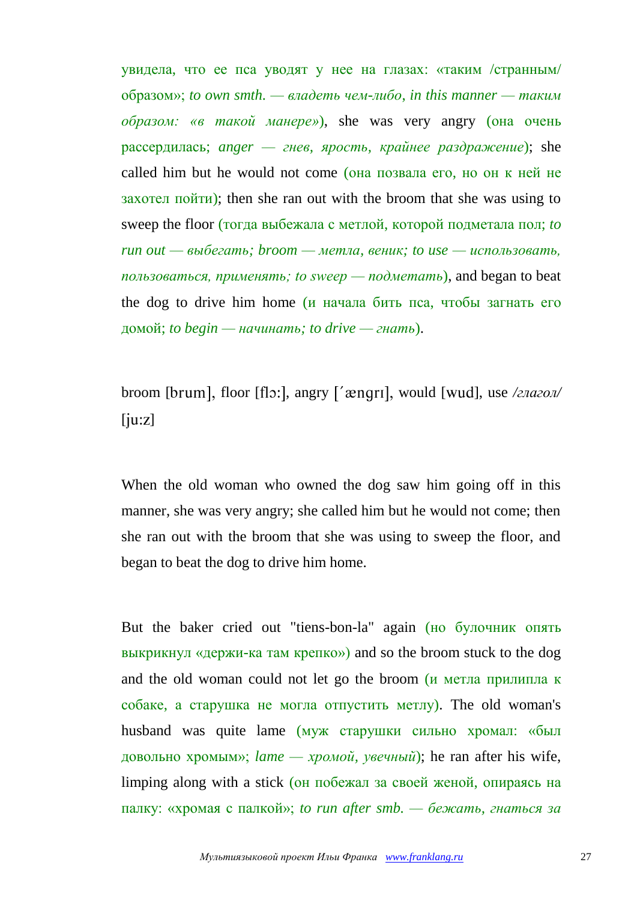увидела, что ее пса уводят у нее на глазах: «таким /странным/ образом»; *to own smth. — владеть чем-либо*, *in this manner — таким образом: «в такой манере»*), she was very angry (она очень рассердилась; *anger — гнев, ярость, крайнее раздражение*); she called him but he would not come (она позвала его, но он к ней не захотел пойти); then she ran out with the broom that she was using to sweep the floor (тогда выбежала с метлой, которой подметала пол; *to run out — выбегать; broom — метла, веник; to use — использовать, пользоваться, применять; to sweep — подметать*), and began to beat the dog to drive him home (и начала бить пса, чтобы загнать его домой; *to begin — начинать; to drive — гнать*).

broom [brum], floor [flɔ:], angry ['ænqrı], would [wud], use /*глагол*/  $[iu:z]$ 

When the old woman who owned the dog saw him going off in this manner, she was very angry; she called him but he would not come; then she ran out with the broom that she was using to sweep the floor, and began to beat the dog to drive him home.

But the baker cried out "tiens-bon-la" again (но булочник опять выкрикнул «держи-ка там крепко») and so the broom stuck to the dog and the old woman could not let go the broom (и метла прилипла к собаке, а старушка не могла отпустить метлу). The old woman's husband was quite lame (муж старушки сильно хромал: «был довольно хромым»; *lame — хромой, увечный*); he ran after his wife, limping along with a stick (он побежал за своей женой, опираясь на палку: «хромая с палкой»; *to run after smb. — бежать, гнаться за*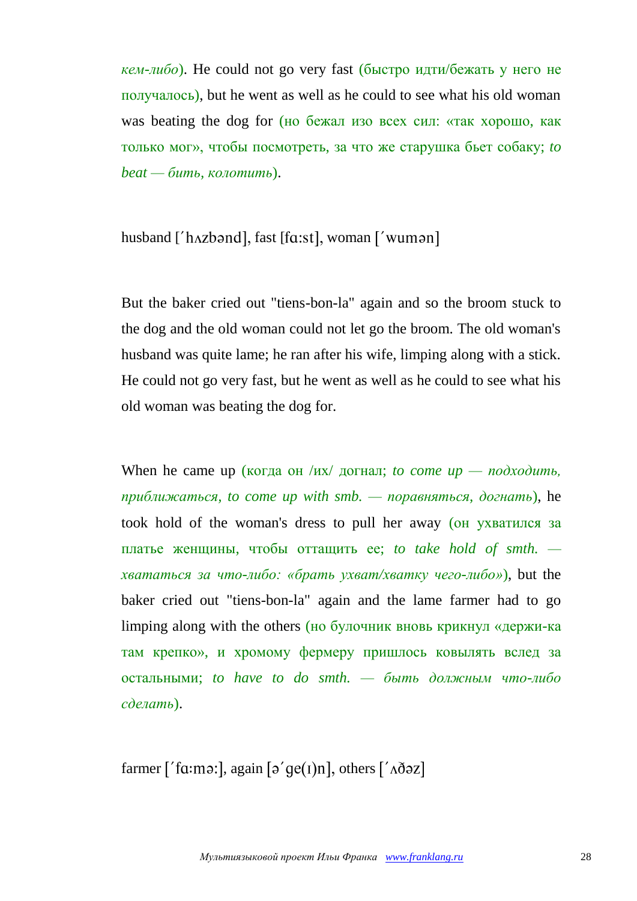*кем-либо*). He could not go very fast (быстро идти/бежать у него не получалось), but he went as well as he could to see what his old woman was beating the dog for (но бежал изо всех сил: «так хорошо, как только мог», чтобы посмотреть, за что же старушка бьет собаку; *to beat — бить, колотить*).

## husband ['hʌzbənd], fast [fɑ:st], woman ['wumən]

But the baker cried out "tiens-bon-la" again and so the broom stuck to the dog and the old woman could not let go the broom. The old woman's husband was quite lame; he ran after his wife, limping along with a stick. He could not go very fast, but he went as well as he could to see what his old woman was beating the dog for.

When he came up (когда он /их/ догнал; *to come up — nodxodumb*, *приближаться, to come up with smb. — поравняться, догнать*), he took hold of the woman's dress to pull her away (он ухватился за платье женщины, чтобы оттащить ее; *to take hold of smth. хвататься за что-либо: «брать ухват/хватку чего-либо»*), but the baker cried out "tiens-bon-la" again and the lame farmer had to go limping along with the others (но булочник вновь крикнул «держи-ка там крепко», и хромому фермеру пришлось ковылять вслед за остальными; *to have to do smth. — быть должным что-либо сделать*).

farmer ['fɑːmə:], again [ə'qe(1)n], others [' $\Delta \delta$ əz]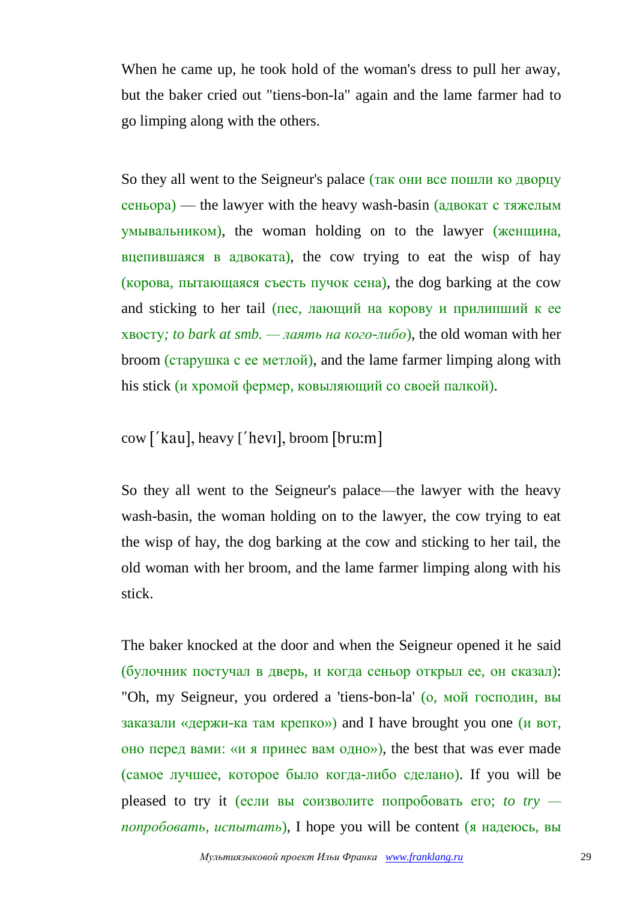When he came up, he took hold of the woman's dress to pull her away, but the baker cried out "tiens-bon-la" again and the lame farmer had to go limping along with the others.

So they all went to the Seigneur's palace (так они все пошли ко дворцу сеньора) — the lawyer with the heavy wash-basin (адвокат с тяжелым умывальником), the woman holding on to the lawyer (женщина, вцепившаяся в адвоката), the cow trying to eat the wisp of hay (корова, пытающаяся съесть пучок сена), the dog barking at the cow and sticking to her tail (пес, лающий на корову и прилипший к ее хвосту*; to bark at smb. — лаять на кого-либо*), the old woman with her broom (старушка с ее метлой), and the lame farmer limping along with his stick (и хромой фермер, ковыляющий со своей палкой).

## $\text{cow }$  ['kau], heavy ['hevi], broom [bru:m]

So they all went to the Seigneur's palace—the lawyer with the heavy wash-basin, the woman holding on to the lawyer, the cow trying to eat the wisp of hay, the dog barking at the cow and sticking to her tail, the old woman with her broom, and the lame farmer limping along with his stick.

The baker knocked at the door and when the Seigneur opened it he said (булочник постучал в дверь, и когда сеньор открыл ее, он сказал): "Oh, my Seigneur, you ordered a 'tiens-bon-la' (о, мой господин, вы заказали «держи-ка там крепко») and I have brought you one (и вот, оно перед вами: «и я принес вам одно»), the best that was ever made (самое лучшее, которое было когда-либо сделано). If you will be pleased to try it (если вы соизволите попробовать его; *to try попробовать, испытать*), I hope you will be content (я надеюсь, вы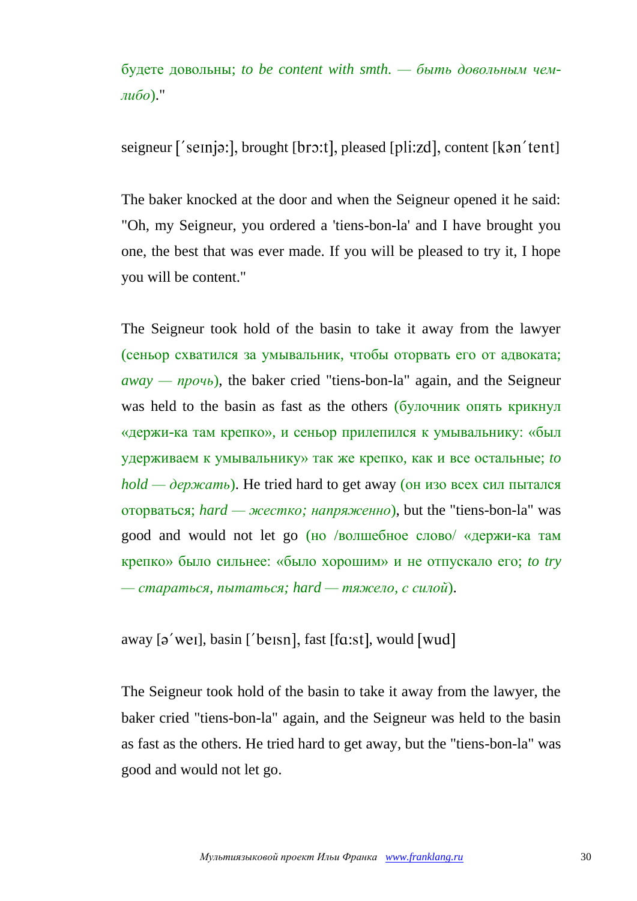будете довольны; *to be content with smth. — быть довольным чемлибо*)."

seigneur ['seinjə:], brought [ $br3:$ t], pleased [ $pli:zd$ ], content [ $kan'$ tent]

The baker knocked at the door and when the Seigneur opened it he said: "Oh, my Seigneur, you ordered a 'tiens-bon-la' and I have brought you one, the best that was ever made. If you will be pleased to try it, I hope you will be content."

The Seigneur took hold of the basin to take it away from the lawyer (сеньор схватился за умывальник, чтобы оторвать его от адвоката; *away — прочь*), the baker cried "tiens-bon-la" again, and the Seigneur was held to the basin as fast as the others (булочник опять крикнул «держи-ка там крепко», и сеньор прилепился к умывальнику: «был удерживаем к умывальнику» так же крепко, как и все остальные; *to hold — держать*). He tried hard to get away (он изо всех сил пытался оторваться; *hard — жестко; напряженно*), but the "tiens-bon-la" was good and would not let go (но /волшебное слово/ «держи-ка там крепко» было сильнее: «было хорошим» и не отпускало его; *to try — стараться, пытаться; hard — тяжело, с силой*).

away  $[\rho'$  weil, basin  $[\text{best}]$ , fast  $[\text{fac:}$ , would  $[\text{wud}]$ 

The Seigneur took hold of the basin to take it away from the lawyer, the baker cried "tiens-bon-la" again, and the Seigneur was held to the basin as fast as the others. He tried hard to get away, but the "tiens-bon-la" was good and would not let go.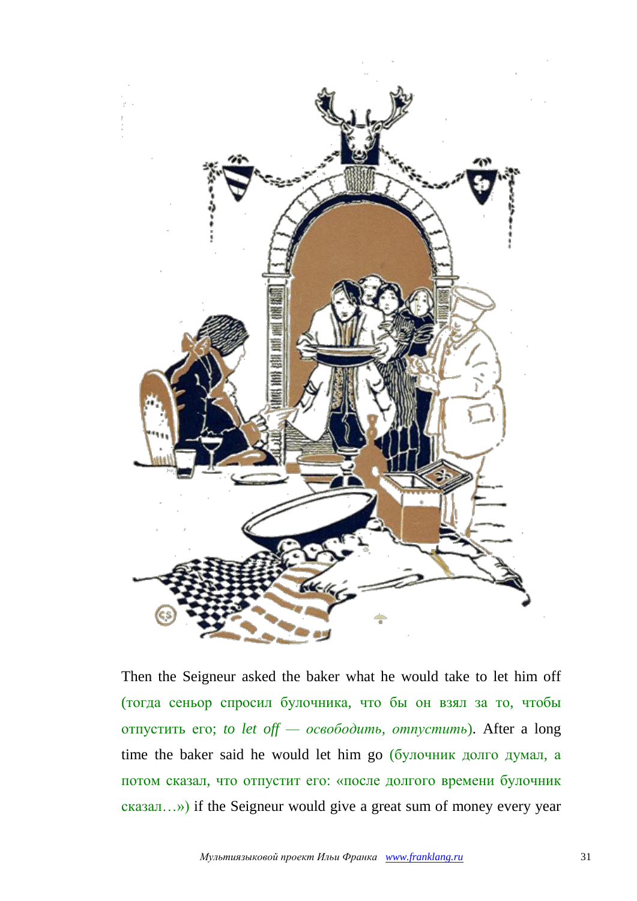

Then the Seigneur asked the baker what he would take to let him off (тогда сеньор спросил булочника, что бы он взял за то, чтобы отпустить его; *to let off — освободить, отпустить*). After a long time the baker said he would let him go (булочник долго думал, а потом сказал, что отпустит его: «после долгого времени булочник сказал…») if the Seigneur would give a great sum of money every year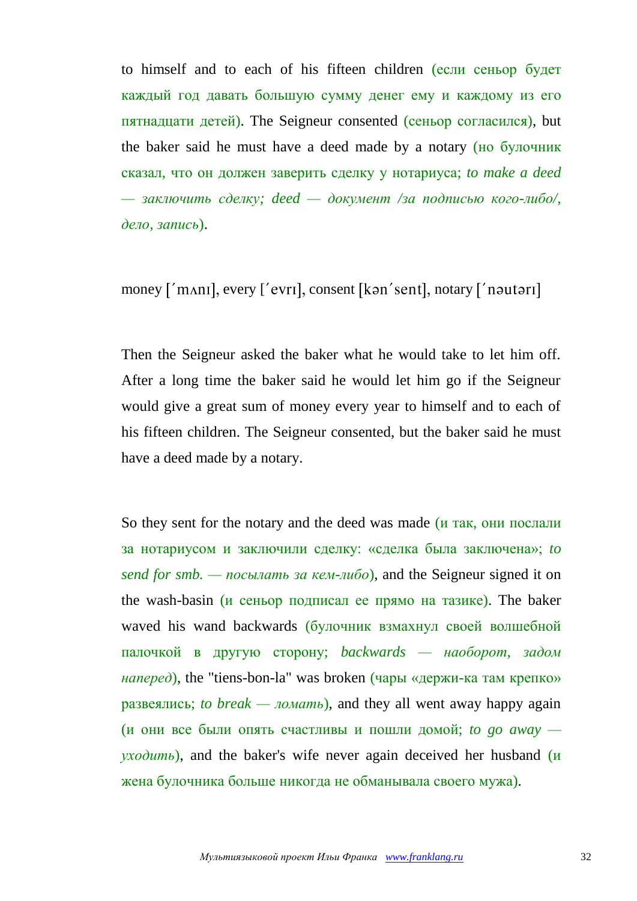to himself and to each of his fifteen children (если сеньор будет каждый год давать большую сумму денег ему и каждому из его пятнадцати детей). The Seigneur consented (сеньор согласился), but the baker said he must have a deed made by a notary (но булочник сказал, что он должен заверить сделку у нотариуса; *to make a deed — заключить сделку; deed — документ /за подписью кого-либо/, дело, запись*).

money ['mʌnɪ], every ['evrɪ], consent [kən'sent], notary ['nəutərɪ]

Then the Seigneur asked the baker what he would take to let him off. After a long time the baker said he would let him go if the Seigneur would give a great sum of money every year to himself and to each of his fifteen children. The Seigneur consented, but the baker said he must have a deed made by a notary.

So they sent for the notary and the deed was made (и так, они послали за нотариусом и заключили сделку: «сделка была заключена»; *to send for smb. — посылать за кем-либо*), and the Seigneur signed it on the wash-basin (и сеньор подписал ее прямо на тазике). The baker waved his wand backwards (булочник взмахнул своей волшебной палочкой в другую сторону; *backwards — наоборот, задом наперед*), the "tiens-bon-la" was broken (чары «держи-ка там крепко» развеялись; *to break — ломать*), and they all went away happy again (и они все были опять счастливы и пошли домой; *to go away уходить*), and the baker's wife never again deceived her husband (и жена булочника больше никогда не обманывала своего мужа).